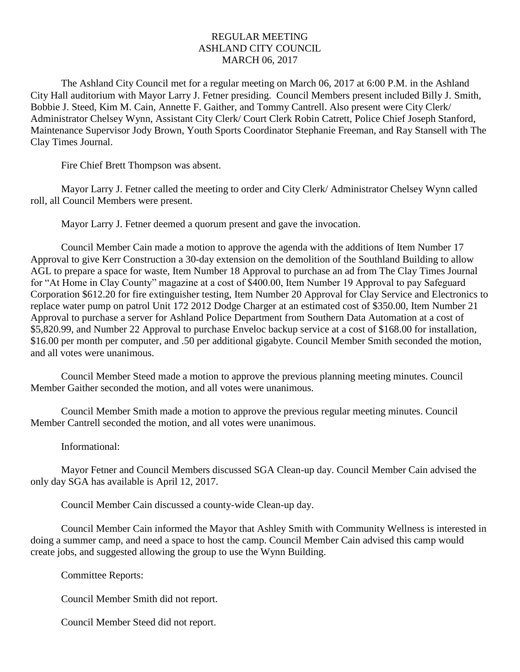## REGULAR MEETING ASHLAND CITY COUNCIL MARCH 06, 2017

The Ashland City Council met for a regular meeting on March 06, 2017 at 6:00 P.M. in the Ashland City Hall auditorium with Mayor Larry J. Fetner presiding. Council Members present included Billy J. Smith, Bobbie J. Steed, Kim M. Cain, Annette F. Gaither, and Tommy Cantrell. Also present were City Clerk/ Administrator Chelsey Wynn, Assistant City Clerk/ Court Clerk Robin Catrett, Police Chief Joseph Stanford, Maintenance Supervisor Jody Brown, Youth Sports Coordinator Stephanie Freeman, and Ray Stansell with The Clay Times Journal.

Fire Chief Brett Thompson was absent.

Mayor Larry J. Fetner called the meeting to order and City Clerk/ Administrator Chelsey Wynn called roll, all Council Members were present.

Mayor Larry J. Fetner deemed a quorum present and gave the invocation.

Council Member Cain made a motion to approve the agenda with the additions of Item Number 17 Approval to give Kerr Construction a 30-day extension on the demolition of the Southland Building to allow AGL to prepare a space for waste, Item Number 18 Approval to purchase an ad from The Clay Times Journal for "At Home in Clay County" magazine at a cost of \$400.00, Item Number 19 Approval to pay Safeguard Corporation \$612.20 for fire extinguisher testing, Item Number 20 Approval for Clay Service and Electronics to replace water pump on patrol Unit 172 2012 Dodge Charger at an estimated cost of \$350.00, Item Number 21 Approval to purchase a server for Ashland Police Department from Southern Data Automation at a cost of \$5,820.99, and Number 22 Approval to purchase Enveloc backup service at a cost of \$168.00 for installation, \$16.00 per month per computer, and .50 per additional gigabyte. Council Member Smith seconded the motion, and all votes were unanimous.

Council Member Steed made a motion to approve the previous planning meeting minutes. Council Member Gaither seconded the motion, and all votes were unanimous.

Council Member Smith made a motion to approve the previous regular meeting minutes. Council Member Cantrell seconded the motion, and all votes were unanimous.

Informational:

Mayor Fetner and Council Members discussed SGA Clean-up day. Council Member Cain advised the only day SGA has available is April 12, 2017.

Council Member Cain discussed a county-wide Clean-up day.

Council Member Cain informed the Mayor that Ashley Smith with Community Wellness is interested in doing a summer camp, and need a space to host the camp. Council Member Cain advised this camp would create jobs, and suggested allowing the group to use the Wynn Building.

Committee Reports:

Council Member Smith did not report.

Council Member Steed did not report.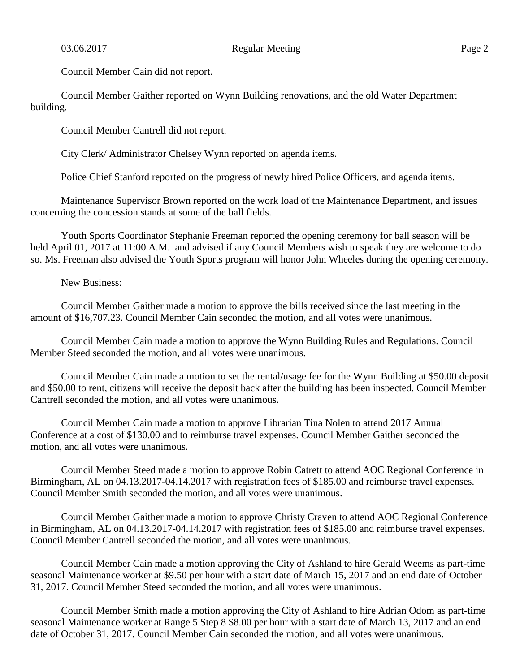Council Member Cain did not report.

Council Member Gaither reported on Wynn Building renovations, and the old Water Department building.

Council Member Cantrell did not report.

City Clerk/ Administrator Chelsey Wynn reported on agenda items.

Police Chief Stanford reported on the progress of newly hired Police Officers, and agenda items.

Maintenance Supervisor Brown reported on the work load of the Maintenance Department, and issues concerning the concession stands at some of the ball fields.

Youth Sports Coordinator Stephanie Freeman reported the opening ceremony for ball season will be held April 01, 2017 at 11:00 A.M. and advised if any Council Members wish to speak they are welcome to do so. Ms. Freeman also advised the Youth Sports program will honor John Wheeles during the opening ceremony.

New Business:

Council Member Gaither made a motion to approve the bills received since the last meeting in the amount of \$16,707.23. Council Member Cain seconded the motion, and all votes were unanimous.

Council Member Cain made a motion to approve the Wynn Building Rules and Regulations. Council Member Steed seconded the motion, and all votes were unanimous.

Council Member Cain made a motion to set the rental/usage fee for the Wynn Building at \$50.00 deposit and \$50.00 to rent, citizens will receive the deposit back after the building has been inspected. Council Member Cantrell seconded the motion, and all votes were unanimous.

Council Member Cain made a motion to approve Librarian Tina Nolen to attend 2017 Annual Conference at a cost of \$130.00 and to reimburse travel expenses. Council Member Gaither seconded the motion, and all votes were unanimous.

Council Member Steed made a motion to approve Robin Catrett to attend AOC Regional Conference in Birmingham, AL on 04.13.2017-04.14.2017 with registration fees of \$185.00 and reimburse travel expenses. Council Member Smith seconded the motion, and all votes were unanimous.

Council Member Gaither made a motion to approve Christy Craven to attend AOC Regional Conference in Birmingham, AL on 04.13.2017-04.14.2017 with registration fees of \$185.00 and reimburse travel expenses. Council Member Cantrell seconded the motion, and all votes were unanimous.

Council Member Cain made a motion approving the City of Ashland to hire Gerald Weems as part-time seasonal Maintenance worker at \$9.50 per hour with a start date of March 15, 2017 and an end date of October 31, 2017. Council Member Steed seconded the motion, and all votes were unanimous.

Council Member Smith made a motion approving the City of Ashland to hire Adrian Odom as part-time seasonal Maintenance worker at Range 5 Step 8 \$8.00 per hour with a start date of March 13, 2017 and an end date of October 31, 2017. Council Member Cain seconded the motion, and all votes were unanimous.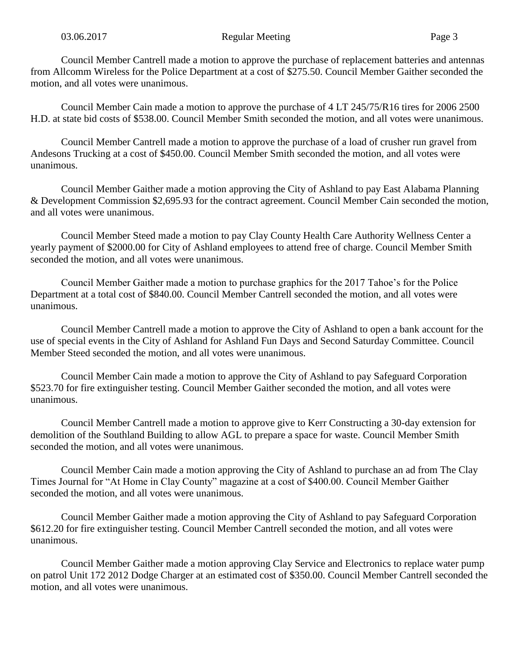Council Member Cantrell made a motion to approve the purchase of replacement batteries and antennas from Allcomm Wireless for the Police Department at a cost of \$275.50. Council Member Gaither seconded the motion, and all votes were unanimous.

Council Member Cain made a motion to approve the purchase of 4 LT 245/75/R16 tires for 2006 2500 H.D. at state bid costs of \$538.00. Council Member Smith seconded the motion, and all votes were unanimous.

Council Member Cantrell made a motion to approve the purchase of a load of crusher run gravel from Andesons Trucking at a cost of \$450.00. Council Member Smith seconded the motion, and all votes were unanimous.

Council Member Gaither made a motion approving the City of Ashland to pay East Alabama Planning & Development Commission \$2,695.93 for the contract agreement. Council Member Cain seconded the motion, and all votes were unanimous.

Council Member Steed made a motion to pay Clay County Health Care Authority Wellness Center a yearly payment of \$2000.00 for City of Ashland employees to attend free of charge. Council Member Smith seconded the motion, and all votes were unanimous.

Council Member Gaither made a motion to purchase graphics for the 2017 Tahoe's for the Police Department at a total cost of \$840.00. Council Member Cantrell seconded the motion, and all votes were unanimous.

Council Member Cantrell made a motion to approve the City of Ashland to open a bank account for the use of special events in the City of Ashland for Ashland Fun Days and Second Saturday Committee. Council Member Steed seconded the motion, and all votes were unanimous.

Council Member Cain made a motion to approve the City of Ashland to pay Safeguard Corporation \$523.70 for fire extinguisher testing. Council Member Gaither seconded the motion, and all votes were unanimous.

Council Member Cantrell made a motion to approve give to Kerr Constructing a 30-day extension for demolition of the Southland Building to allow AGL to prepare a space for waste. Council Member Smith seconded the motion, and all votes were unanimous.

Council Member Cain made a motion approving the City of Ashland to purchase an ad from The Clay Times Journal for "At Home in Clay County" magazine at a cost of \$400.00. Council Member Gaither seconded the motion, and all votes were unanimous.

Council Member Gaither made a motion approving the City of Ashland to pay Safeguard Corporation \$612.20 for fire extinguisher testing. Council Member Cantrell seconded the motion, and all votes were unanimous.

Council Member Gaither made a motion approving Clay Service and Electronics to replace water pump on patrol Unit 172 2012 Dodge Charger at an estimated cost of \$350.00. Council Member Cantrell seconded the motion, and all votes were unanimous.